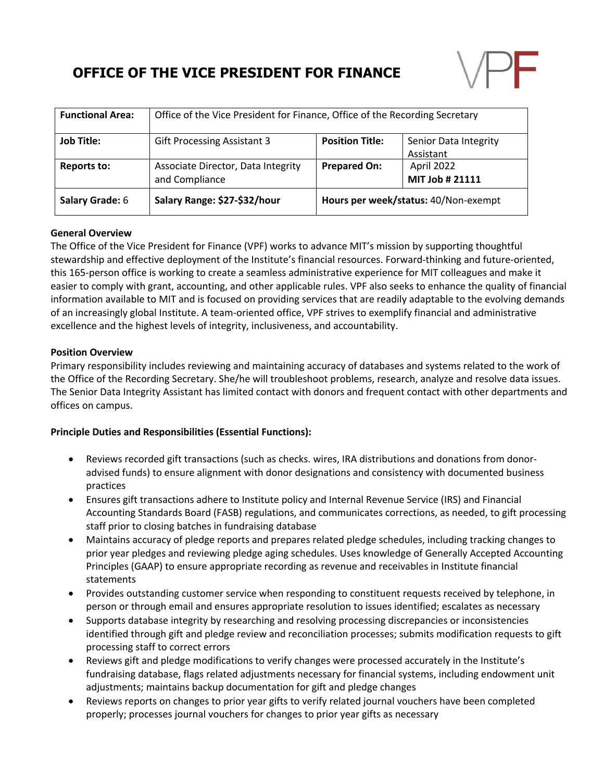# **OFFICE OF THE VICE PRESIDENT FOR FINANCE**



| <b>Functional Area:</b> | Office of the Vice President for Finance, Office of the Recording Secretary |                                      |                                    |
|-------------------------|-----------------------------------------------------------------------------|--------------------------------------|------------------------------------|
| <b>Job Title:</b>       | <b>Gift Processing Assistant 3</b>                                          | <b>Position Title:</b>               | Senior Data Integrity<br>Assistant |
| Reports to:             | Associate Director, Data Integrity<br>and Compliance                        | <b>Prepared On:</b>                  | April 2022<br>MIT Job # 21111      |
| Salary Grade: 6         | Salary Range: \$27-\$32/hour                                                | Hours per week/status: 40/Non-exempt |                                    |

## **General Overview**

The Office of the Vice President for Finance (VPF) works to advance MIT's mission by supporting thoughtful stewardship and effective deployment of the Institute's financial resources. Forward-thinking and future-oriented, this 165-person office is working to create a seamless administrative experience for MIT colleagues and make it easier to comply with grant, accounting, and other applicable rules. VPF also seeks to enhance the quality of financial information available to MIT and is focused on providing services that are readily adaptable to the evolving demands of an increasingly global Institute. A team-oriented office, VPF strives to exemplify financial and administrative excellence and the highest levels of integrity, inclusiveness, and accountability.

### **Position Overview**

Primary responsibility includes reviewing and maintaining accuracy of databases and systems related to the work of the Office of the Recording Secretary. She/he will troubleshoot problems, research, analyze and resolve data issues. The Senior Data Integrity Assistant has limited contact with donors and frequent contact with other departments and offices on campus.

## **Principle Duties and Responsibilities (Essential Functions):**

- Reviews recorded gift transactions (such as checks. wires, IRA distributions and donations from donoradvised funds) to ensure alignment with donor designations and consistency with documented business practices
- Ensures gift transactions adhere to Institute policy and Internal Revenue Service (IRS) and Financial Accounting Standards Board (FASB) regulations, and communicates corrections, as needed, to gift processing staff prior to closing batches in fundraising database
- Maintains accuracy of pledge reports and prepares related pledge schedules, including tracking changes to prior year pledges and reviewing pledge aging schedules. Uses knowledge of Generally Accepted Accounting Principles (GAAP) to ensure appropriate recording as revenue and receivables in Institute financial statements
- Provides outstanding customer service when responding to constituent requests received by telephone, in person or through email and ensures appropriate resolution to issues identified; escalates as necessary
- Supports database integrity by researching and resolving processing discrepancies or inconsistencies identified through gift and pledge review and reconciliation processes; submits modification requests to gift processing staff to correct errors
- Reviews gift and pledge modifications to verify changes were processed accurately in the Institute's fundraising database, flags related adjustments necessary for financial systems, including endowment unit adjustments; maintains backup documentation for gift and pledge changes
- Reviews reports on changes to prior year gifts to verify related journal vouchers have been completed properly; processes journal vouchers for changes to prior year gifts as necessary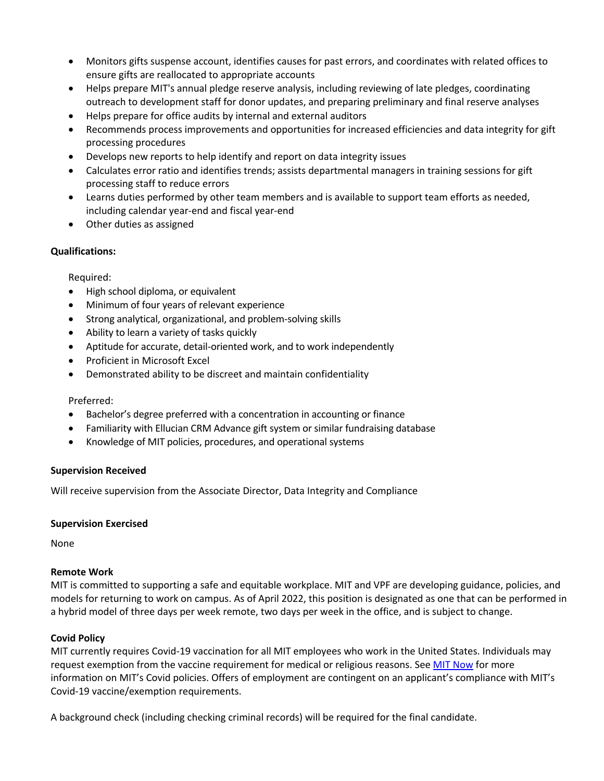- Monitors gifts suspense account, identifies causes for past errors, and coordinates with related offices to ensure gifts are reallocated to appropriate accounts
- Helps prepare MIT's annual pledge reserve analysis, including reviewing of late pledges, coordinating outreach to development staff for donor updates, and preparing preliminary and final reserve analyses
- Helps prepare for office audits by internal and external auditors
- Recommends process improvements and opportunities for increased efficiencies and data integrity for gift processing procedures
- Develops new reports to help identify and report on data integrity issues
- Calculates error ratio and identifies trends; assists departmental managers in training sessions for gift processing staff to reduce errors
- Learns duties performed by other team members and is available to support team efforts as needed, including calendar year-end and fiscal year-end
- Other duties as assigned

## **Qualifications:**

Required:

- High school diploma, or equivalent
- Minimum of four years of relevant experience
- Strong analytical, organizational, and problem-solving skills
- Ability to learn a variety of tasks quickly
- Aptitude for accurate, detail-oriented work, and to work independently
- Proficient in Microsoft Excel
- Demonstrated ability to be discreet and maintain confidentiality

## Preferred:

- Bachelor's degree preferred with a concentration in accounting or finance
- Familiarity with Ellucian CRM Advance gift system or similar fundraising database
- Knowledge of MIT policies, procedures, and operational systems

## **Supervision Received**

Will receive supervision from the Associate Director, Data Integrity and Compliance

## **Supervision Exercised**

None

## **Remote Work**

MIT is committed to supporting a safe and equitable workplace. MIT and VPF are developing guidance, policies, and models for returning to work on campus. As of April 2022, this position is designated as one that can be performed in a hybrid model of three days per week remote, two days per week in the office, and is subject to change.

## **Covid Policy**

MIT currently requires Covid-19 vaccination for all MIT employees who work in the United States. Individuals may request exemption from the vaccine requirement for medical or religious reasons. See MIT Now for more information on MIT's Covid policies. Offers of employment are contingent on an applicant's compliance with MIT's Covid-19 vaccine/exemption requirements.

A background check (including checking criminal records) will be required for the final candidate.